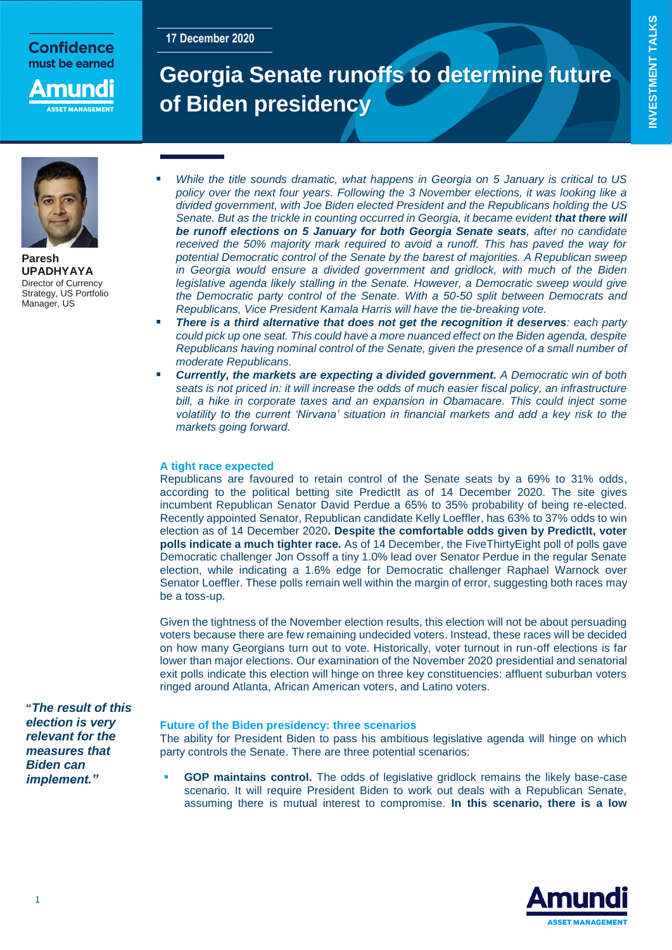## Confidence must be earned

nunc

# **Georgia Senate runoffs to determine future of Biden presidency**



**Paresh UPADHYAYA** Director of Currency Strategy, US Portfolio Manager, US

- *While the title sounds dramatic, what happens in Georgia on 5 January is critical to US policy over the next four years. Following the 3 November elections, it was looking like a divided government, with Joe Biden elected President and the Republicans holding the US Senate. But as the trickle in counting occurred in Georgia, it became evident that there will be runoff elections on 5 January for both Georgia Senate seats, after no candidate received the 50% majority mark required to avoid a runoff. This has paved the way for potential Democratic control of the Senate by the barest of majorities. A Republican sweep in Georgia would ensure a divided government and gridlock, with much of the Biden legislative agenda likely stalling in the Senate. However, a Democratic sweep would give the Democratic party control of the Senate. With a 50-50 split between Democrats and Republicans, Vice President Kamala Harris will have the tie-breaking vote.*
- *There is a third alternative that does not get the recognition it deserves: each party could pick up one seat. This could have a more nuanced effect on the Biden agenda, despite Republicans having nominal control of the Senate, given the presence of a small number of moderate Republicans.*
- *Currently, the markets are expecting a divided government. A Democratic win of both seats is not priced in: it will increase the odds of much easier fiscal policy, an infrastructure*  bill, a hike in corporate taxes and an expansion in Obamacare. This could inject some *volatility to the current 'Nirvana' situation in financial markets and add a key risk to the markets going forward.*

## **A tight race expected**

**17 December 2020**

Republicans are favoured to retain control of the Senate seats by a 69% to 31% odds, according to the political betting site PredictIt as of 14 December 2020. The site gives incumbent Republican Senator David Perdue a 65% to 35% probability of being re-elected. Recently appointed Senator, Republican candidate Kelly Loeffler, has 63% to 37% odds to win election as of 14 December 2020**. Despite the comfortable odds given by Predictit, voter polls indicate a much tighter race.** As of 14 December, the FiveThirtyEight poll of polls gave Democratic challenger Jon Ossoff a tiny 1.0% lead over Senator Perdue in the regular Senate election, while indicating a 1.6% edge for Democratic challenger Raphael Warnock over Senator Loeffler. These polls remain well within the margin of error, suggesting both races may be a toss-up.

Given the tightness of the November election results, this election will not be about persuading voters because there are few remaining undecided voters. Instead, these races will be decided on how many Georgians turn out to vote. Historically, voter turnout in run-off elections is far lower than major elections. Our examination of the November 2020 presidential and senatorial exit polls indicate this election will hinge on three key constituencies: affluent suburban voters ringed around Atlanta, African American voters, and Latino voters.

**"***The result of this election is very relevant for the measures that Biden can implement."*

## **Future of the Biden presidency: three scenarios**

The ability for President Biden to pass his ambitious legislative agenda will hinge on which party controls the Senate. There are three potential scenarios:

 **GOP maintains control.** The odds of legislative gridlock remains the likely base-case scenario. It will require President Biden to work out deals with a Republican Senate, assuming there is mutual interest to compromise. **In this scenario, there is a low** 

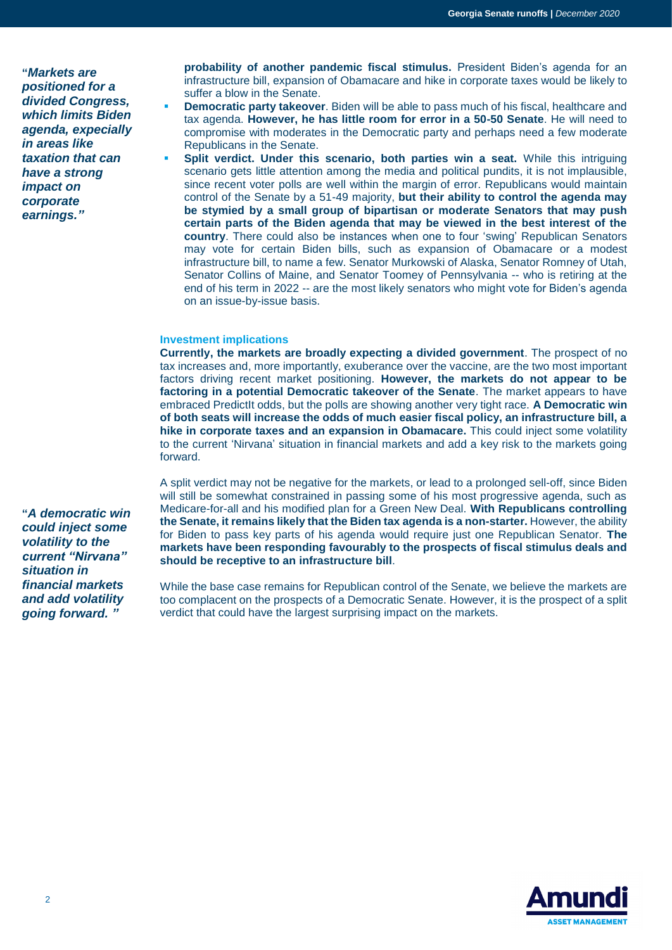**"***Markets are positioned for a divided Congress, which limits Biden agenda, expecially in areas like taxation that can have a strong impact on corporate earnings."*

**probability of another pandemic fiscal stimulus.** President Biden's agenda for an infrastructure bill, expansion of Obamacare and hike in corporate taxes would be likely to suffer a blow in the Senate.

- **Democratic party takeover**. Biden will be able to pass much of his fiscal, healthcare and tax agenda. **However, he has little room for error in a 50-50 Senate**. He will need to compromise with moderates in the Democratic party and perhaps need a few moderate Republicans in the Senate.
- **Split verdict. Under this scenario, both parties win a seat.** While this intriguing scenario gets little attention among the media and political pundits, it is not implausible, since recent voter polls are well within the margin of error. Republicans would maintain control of the Senate by a 51-49 majority, **but their ability to control the agenda may be stymied by a small group of bipartisan or moderate Senators that may push certain parts of the Biden agenda that may be viewed in the best interest of the country**. There could also be instances when one to four 'swing' Republican Senators may vote for certain Biden bills, such as expansion of Obamacare or a modest infrastructure bill, to name a few. Senator Murkowski of Alaska, Senator Romney of Utah, Senator Collins of Maine, and Senator Toomey of Pennsylvania -- who is retiring at the end of his term in 2022 -- are the most likely senators who might vote for Biden's agenda on an issue-by-issue basis.

## **Investment implications**

**Currently, the markets are broadly expecting a divided government**. The prospect of no tax increases and, more importantly, exuberance over the vaccine, are the two most important factors driving recent market positioning. **However, the markets do not appear to be factoring in a potential Democratic takeover of the Senate**. The market appears to have embraced PredictIt odds, but the polls are showing another very tight race. **A Democratic win of both seats will increase the odds of much easier fiscal policy, an infrastructure bill, a hike in corporate taxes and an expansion in Obamacare.** This could inject some volatility to the current 'Nirvana' situation in financial markets and add a key risk to the markets going forward.

A split verdict may not be negative for the markets, or lead to a prolonged sell-off, since Biden will still be somewhat constrained in passing some of his most progressive agenda, such as Medicare-for-all and his modified plan for a Green New Deal. **With Republicans controlling the Senate, it remains likely that the Biden tax agenda is a non-starter.** However, the ability for Biden to pass key parts of his agenda would require just one Republican Senator. **The markets have been responding favourably to the prospects of fiscal stimulus deals and should be receptive to an infrastructure bill**.

While the base case remains for Republican control of the Senate, we believe the markets are too complacent on the prospects of a Democratic Senate. However, it is the prospect of a split verdict that could have the largest surprising impact on the markets.

**"***A democratic win could inject some volatility to the current "Nirvana" situation in financial markets and add volatility going forward. "*